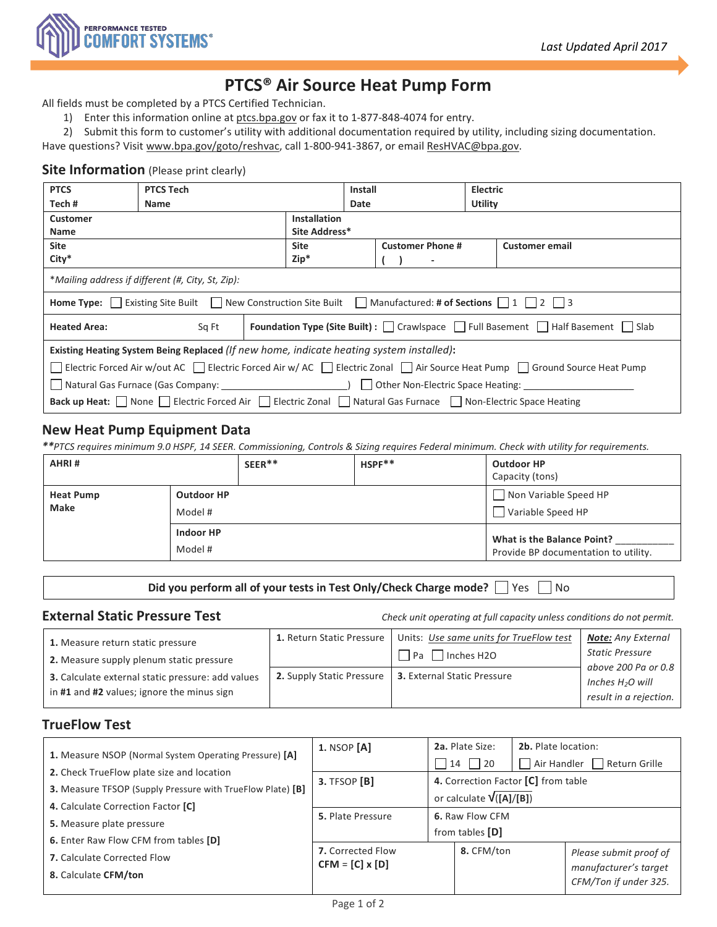

# **PTCS® Air Source Heat Pump Form**

All fields must be completed by a PTCS Certified Technician.

1) Enter this information online at [ptcs.bpa.gov](https://ptcs.bpa.gov/) or fax it to 1-877-848-4074 for entry.

2) Submit this form to customer's utility with additional documentation required by utility, including sizing documentation.

Have questions? Visit [www.bpa.gov/goto/reshvac,](file://Hq5f01/esb/RESIDENTIAL/PTCS/MarComm/Forms/Install%20GSHP%20Form/www.bpa.gov/goto/reshvac) call 1-800-941-3867, or emai[l ResHVAC@bpa.gov.](mailto:ResHVAC@bpa.gov)

## **Site Information** (Please print clearly)

| <b>PTCS</b>                                                                                                                                                                                                                                    | <b>PTCS Tech</b>                                                                                   |  | <b>Install</b>      |               | <b>Electric</b>          |  |                       |  |
|------------------------------------------------------------------------------------------------------------------------------------------------------------------------------------------------------------------------------------------------|----------------------------------------------------------------------------------------------------|--|---------------------|---------------|--------------------------|--|-----------------------|--|
| Tech#                                                                                                                                                                                                                                          | <b>Name</b>                                                                                        |  |                     | Date          |                          |  | Utility               |  |
| <b>Customer</b>                                                                                                                                                                                                                                |                                                                                                    |  | <b>Installation</b> |               |                          |  |                       |  |
| <b>Name</b>                                                                                                                                                                                                                                    |                                                                                                    |  |                     | Site Address* |                          |  |                       |  |
| <b>Site</b>                                                                                                                                                                                                                                    |                                                                                                    |  | <b>Site</b>         |               | <b>Customer Phone #</b>  |  | <b>Customer email</b> |  |
| City*                                                                                                                                                                                                                                          |                                                                                                    |  | $Zip*$              |               | $\overline{\phantom{a}}$ |  |                       |  |
|                                                                                                                                                                                                                                                | *Mailing address if different (#, City, St, Zip):                                                  |  |                     |               |                          |  |                       |  |
| <b>Home Type:</b> $\begin{bmatrix} \end{bmatrix}$ Existing Site Built $\begin{bmatrix} \end{bmatrix}$ New Construction Site Built $\begin{bmatrix} \end{bmatrix}$ Manufactured: <b># of Sections</b> $\begin{bmatrix} 1 & 2 & 3 \end{bmatrix}$ |                                                                                                    |  |                     |               |                          |  |                       |  |
| <b>Heated Area:</b>                                                                                                                                                                                                                            | <b>Foundation Type (Site Built)</b> : [ Crawlspace   Full Basement   Half Basement   Slab<br>Sq Ft |  |                     |               |                          |  |                       |  |
| Existing Heating System Being Replaced (If new home, indicate heating system installed):                                                                                                                                                       |                                                                                                    |  |                     |               |                          |  |                       |  |
| □ Electric Forced Air w/out AC □ Electric Forced Air w/ AC □ Electric Zonal □ Air Source Heat Pump □ Ground Source Heat Pump                                                                                                                   |                                                                                                    |  |                     |               |                          |  |                       |  |
|                                                                                                                                                                                                                                                |                                                                                                    |  |                     |               |                          |  |                       |  |
| Back up Heat: None   Electric Forced Air   Electric Zonal   Natural Gas Furnace   Non-Electric Space Heating                                                                                                                                   |                                                                                                    |  |                     |               |                          |  |                       |  |

## **New Heat Pump Equipment Data**

*\*\*PTCS requires minimum 9.0 HSPF, 14 SEER. Commissioning, Controls & Sizing requires Federal minimum. Check with utility for requirements.*

| AHRI#                           |                              | $SEER**$<br>$HSPF**$ |                                            | <b>Outdoor HP</b><br>Capacity (tons)                               |  |
|---------------------------------|------------------------------|----------------------|--------------------------------------------|--------------------------------------------------------------------|--|
| <b>Heat Pump</b><br><b>Make</b> | <b>Outdoor HP</b><br>Model # |                      | Non Variable Speed HP<br>Variable Speed HP |                                                                    |  |
|                                 | Indoor HP<br>Model #         |                      |                                            | What is the Balance Point?<br>Provide BP documentation to utility. |  |

**Did you perform all of your tests in Test Only/Check Charge mode?** Ves No

**External Static Pressure Test** *Check unit operating at full capacity unless conditions do not permit.*

| 1. Measure return static pressure                                                               | 1. Return Static Pressure   Units: Use same units for TrueFlow test | <b>Note:</b> Any External                                           |
|-------------------------------------------------------------------------------------------------|---------------------------------------------------------------------|---------------------------------------------------------------------|
| 2. Measure supply plenum static pressure                                                        | $\Box$ Pa $\Box$ Inches H2O                                         | <b>Static Pressure</b>                                              |
| 3. Calculate external static pressure: add values<br>in #1 and #2 values; ignore the minus sign | 2. Supply Static Pressure   3. External Static Pressure             | above 200 Pa or 0.8<br>Inches $H_2O$ will<br>result in a rejection. |

## **TrueFlow Test**

| 1. Measure NSOP (Normal System Operating Pressure) [A]                                                                                               | 1. NSOP [A]                                 | 2a. Plate Size:<br>$14$   20                                     | <b>2b.</b> Plate location:<br>Air Handler<br>  Return Grille             |  |  |
|------------------------------------------------------------------------------------------------------------------------------------------------------|---------------------------------------------|------------------------------------------------------------------|--------------------------------------------------------------------------|--|--|
| 2. Check TrueFlow plate size and location<br><b>3.</b> Measure TFSOP (Supply Pressure with TrueFlow Plate) [B]<br>4. Calculate Correction Factor [C] | $3.$ TFSOP [B]                              | 4. Correction Factor [C] from table<br>or calculate $V([A]/[B])$ |                                                                          |  |  |
| 5. Measure plate pressure<br><b>6.</b> Enter Raw Flow CFM from tables [D]                                                                            | 5. Plate Pressure                           | 6. Raw Flow CFM<br>from tables [D]                               |                                                                          |  |  |
| <b>7.</b> Calculate Corrected Flow<br>8. Calculate CFM/ton                                                                                           | 7. Corrected Flow<br>$CFM = [C] \times [D]$ | 8. CFM/ton                                                       | Please submit proof of<br>manufacturer's target<br>CFM/Ton if under 325. |  |  |